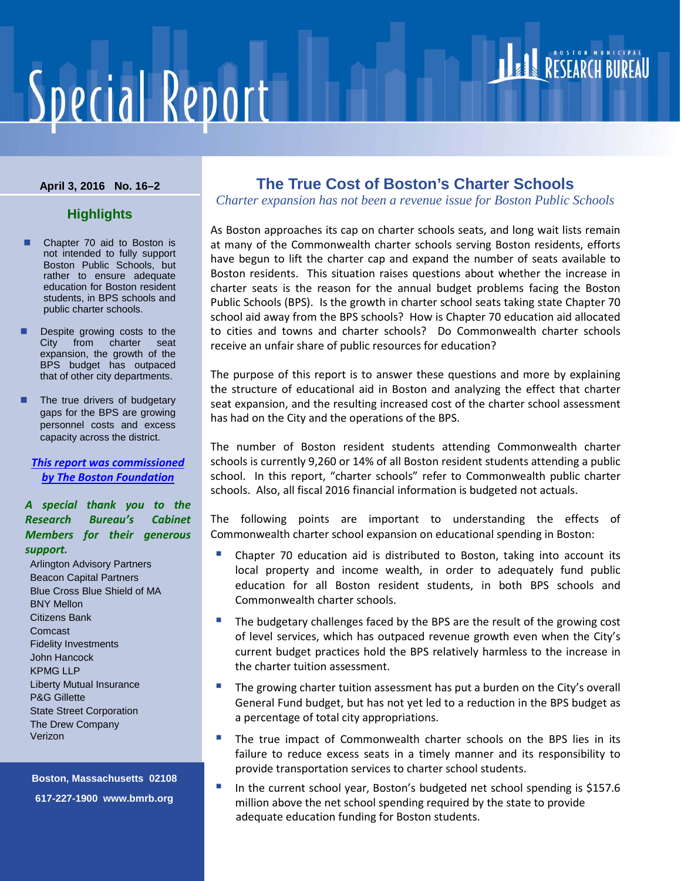# **Special Report**

#### **April 3, 2016 No. 16–2**

# **Highlights**

- Chapter 70 aid to Boston is not intended to fully support Boston Public Schools, but rather to ensure adequate education for Boston resident students, in BPS schools and public charter schools.
- Despite growing costs to the City from charter seat expansion, the growth of the BPS budget has outpaced that of other city departments.
- The true drivers of budgetary gaps for the BPS are growing personnel costs and excess capacity across the district.

*[This report was commissioned](http://www.tbf.org/)  [by The Boston Foundation](http://www.tbf.org/)*

*A special thank you to the Research Bureau's Cabinet Members for their generous support.*

Arlington Advisory Partners Beacon Capital Partners Blue Cross Blue Shield of MA BNY Mellon Citizens Bank Comcast Fidelity Investments John Hancock KPMG LLP Liberty Mutual Insurance P&G Gillette State Street Corporation The Drew Company Verizon

**Boston, Massachusetts 02108 617-227-1900 www.bmrb.org**

# **The True Cost of Boston's Charter Schools**

*Charter expansion has not been a revenue issue for Boston Public Schools*

RESEARCH BUREAU

As Boston approaches its cap on charter schools seats, and long wait lists remain at many of the Commonwealth charter schools serving Boston residents, efforts have begun to lift the charter cap and expand the number of seats available to Boston residents. This situation raises questions about whether the increase in charter seats is the reason for the annual budget problems facing the Boston Public Schools (BPS). Is the growth in charter school seats taking state Chapter 70 school aid away from the BPS schools? How is Chapter 70 education aid allocated to cities and towns and charter schools? Do Commonwealth charter schools receive an unfair share of public resources for education?

The purpose of this report is to answer these questions and more by explaining the structure of educational aid in Boston and analyzing the effect that charter seat expansion, and the resulting increased cost of the charter school assessment has had on the City and the operations of the BPS.

The number of Boston resident students attending Commonwealth charter schools is currently 9,260 or 14% of all Boston resident students attending a public school. In this report, "charter schools" refer to Commonwealth public charter schools. Also, all fiscal 2016 financial information is budgeted not actuals.

The following points are important to understanding the effects of Commonwealth charter school expansion on educational spending in Boston:

- Chapter 70 education aid is distributed to Boston, taking into account its local property and income wealth, in order to adequately fund public education for all Boston resident students, in both BPS schools and Commonwealth charter schools.
- The budgetary challenges faced by the BPS are the result of the growing cost of level services, which has outpaced revenue growth even when the City's current budget practices hold the BPS relatively harmless to the increase in the charter tuition assessment.
- **The growing charter tuition assessment has put a burden on the City's overall** General Fund budget, but has not yet led to a reduction in the BPS budget as a percentage of total city appropriations.
- **The true impact of Commonwealth charter schools on the BPS lies in its** failure to reduce excess seats in a timely manner and its responsibility to provide transportation services to charter school students.
- In the current school year, Boston's budgeted net school spending is \$157.6 million above the net school spending required by the state to provide adequate education funding for Boston students.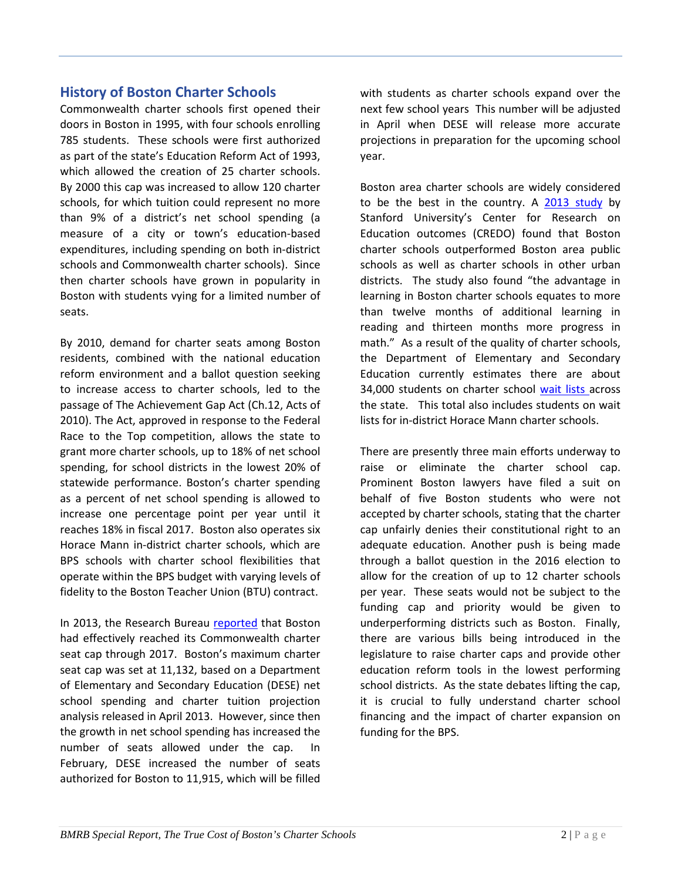# **History of Boston Charter Schools**

Commonwealth charter schools first opened their doors in Boston in 1995, with four schools enrolling 785 students. These schools were first authorized as part of the state's Education Reform Act of 1993, which allowed the creation of 25 charter schools. By 2000 this cap was increased to allow 120 charter schools, for which tuition could represent no more than 9% of a district's net school spending (a measure of a city or town's education-based expenditures, including spending on both in-district schools and Commonwealth charter schools). Since then charter schools have grown in popularity in Boston with students vying for a limited number of seats.

By 2010, demand for charter seats among Boston residents, combined with the national education reform environment and a ballot question seeking to increase access to charter schools, led to the passage of The Achievement Gap Act (Ch.12, Acts of 2010). The Act, approved in response to the Federal Race to the Top competition, allows the state to grant more charter schools, up to 18% of net school spending, for school districts in the lowest 20% of statewide performance. Boston's charter spending as a percent of net school spending is allowed to increase one percentage point per year until it reaches 18% in fiscal 2017. Boston also operates six Horace Mann in-district charter schools, which are BPS schools with charter school flexibilities that operate within the BPS budget with varying levels of fidelity to the Boston Teacher Union (BTU) contract.

In 2013, the Research Bureau [reported](http://bmrb.org/wp-content/searchable/SR135CHARTERFINAL.pdf) that Boston had effectively reached its Commonwealth charter seat cap through 2017. Boston's maximum charter seat cap was set at 11,132, based on a Department of Elementary and Secondary Education (DESE) net school spending and charter tuition projection analysis released in April 2013. However, since then the growth in net school spending has increased the number of seats allowed under the cap. In February, DESE increased the number of seats authorized for Boston to 11,915, which will be filled

with students as charter schools expand over the next few school years This number will be adjusted in April when DESE will release more accurate projections in preparation for the upcoming school year.

Boston area charter schools are widely considered to be the best in the country. A [2013 study](http://credo.stanford.edu/documents/MAReportFinal.pdf) by Stanford University's Center for Research on Education outcomes (CREDO) found that Boston charter schools outperformed Boston area public schools as well as charter schools in other urban districts. The study also found "the advantage in learning in Boston charter schools equates to more than twelve months of additional learning in reading and thirteen months more progress in math." As a result of the quality of charter schools, the Department of Elementary and Secondary Education currently estimates there are about 34,000 students on charter school [wait lists](http://www.doe.mass.edu/news/news.aspx?id=21469) across the state. This total also includes students on wait lists for in-district Horace Mann charter schools.

There are presently three main efforts underway to raise or eliminate the charter school cap. Prominent Boston lawyers have filed a suit on behalf of five Boston students who were not accepted by charter schools, stating that the charter cap unfairly denies their constitutional right to an adequate education. Another push is being made through a ballot question in the 2016 election to allow for the creation of up to 12 charter schools per year. These seats would not be subject to the funding cap and priority would be given to underperforming districts such as Boston. Finally, there are various bills being introduced in the legislature to raise charter caps and provide other education reform tools in the lowest performing school districts. As the state debates lifting the cap, it is crucial to fully understand charter school financing and the impact of charter expansion on funding for the BPS.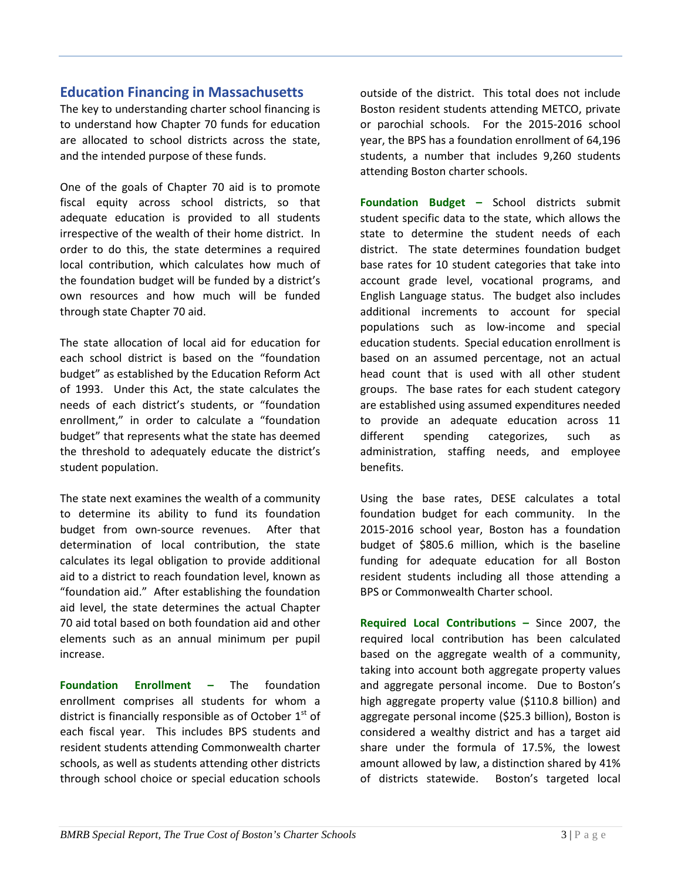# **Education Financing in Massachusetts**

The key to understanding charter school financing is to understand how Chapter 70 funds for education are allocated to school districts across the state, and the intended purpose of these funds.

One of the goals of Chapter 70 aid is to promote fiscal equity across school districts, so that adequate education is provided to all students irrespective of the wealth of their home district. In order to do this, the state determines a required local contribution, which calculates how much of the foundation budget will be funded by a district's own resources and how much will be funded through state Chapter 70 aid.

The state allocation of local aid for education for each school district is based on the "foundation budget" as established by the Education Reform Act of 1993. Under this Act, the state calculates the needs of each district's students, or "foundation enrollment," in order to calculate a "foundation budget" that represents what the state has deemed the threshold to adequately educate the district's student population.

The state next examines the wealth of a community to determine its ability to fund its foundation budget from own-source revenues. After that determination of local contribution, the state calculates its legal obligation to provide additional aid to a district to reach foundation level, known as "foundation aid." After establishing the foundation aid level, the state determines the actual Chapter 70 aid total based on both foundation aid and other elements such as an annual minimum per pupil increase.

**Foundation Enrollment –** The foundation enrollment comprises all students for whom a district is financially responsible as of October  $1<sup>st</sup>$  of each fiscal year. This includes BPS students and resident students attending Commonwealth charter schools, as well as students attending other districts through school choice or special education schools outside of the district. This total does not include Boston resident students attending METCO, private or parochial schools. For the 2015-2016 school year, the BPS has a foundation enrollment of 64,196 students, a number that includes 9,260 students attending Boston charter schools.

**Foundation Budget –** School districts submit student specific data to the state, which allows the state to determine the student needs of each district. The state determines foundation budget base rates for 10 student categories that take into account grade level, vocational programs, and English Language status. The budget also includes additional increments to account for special populations such as low-income and special education students. Special education enrollment is based on an assumed percentage, not an actual head count that is used with all other student groups. The base rates for each student category are established using assumed expenditures needed to provide an adequate education across 11 different spending categorizes, such as administration, staffing needs, and employee benefits.

Using the base rates, DESE calculates a total foundation budget for each community. In the 2015-2016 school year, Boston has a foundation budget of \$805.6 million, which is the baseline funding for adequate education for all Boston resident students including all those attending a BPS or Commonwealth Charter school.

**Required Local Contributions –** Since 2007, the required local contribution has been calculated based on the aggregate wealth of a community, taking into account both aggregate property values and aggregate personal income. Due to Boston's high aggregate property value (\$110.8 billion) and aggregate personal income (\$25.3 billion), Boston is considered a wealthy district and has a target aid share under the formula of 17.5%, the lowest amount allowed by law, a distinction shared by 41% of districts statewide. Boston's targeted local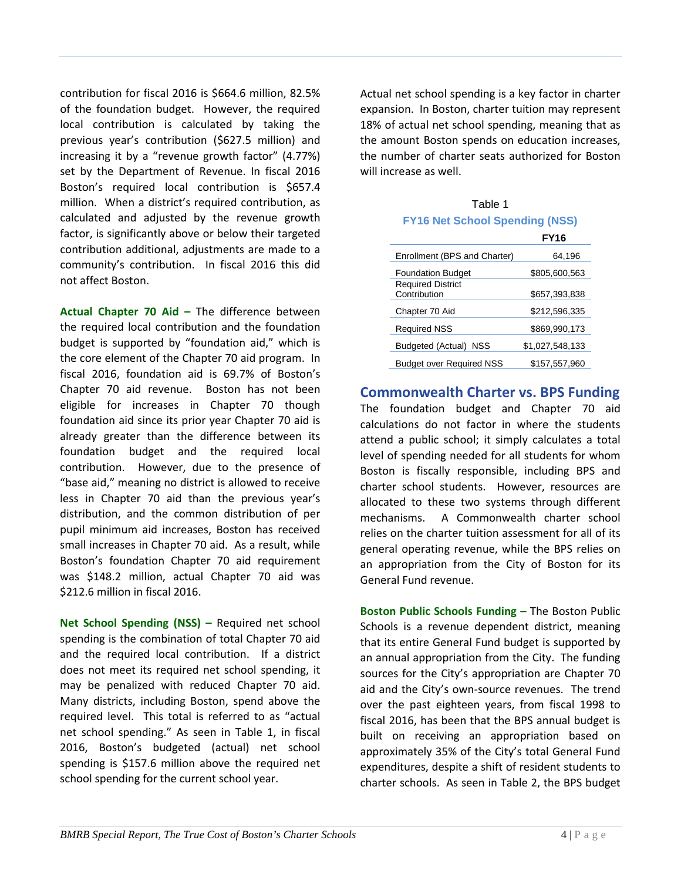contribution for fiscal 2016 is \$664.6 million, 82.5% of the foundation budget. However, the required local contribution is calculated by taking the previous year's contribution (\$627.5 million) and increasing it by a "revenue growth factor" (4.77%) set by the Department of Revenue. In fiscal 2016 Boston's required local contribution is \$657.4 million. When a district's required contribution, as calculated and adjusted by the revenue growth factor, is significantly above or below their targeted contribution additional, adjustments are made to a community's contribution. In fiscal 2016 this did not affect Boston.

**Actual Chapter 70 Aid –** The difference between the required local contribution and the foundation budget is supported by "foundation aid," which is the core element of the Chapter 70 aid program. In fiscal 2016, foundation aid is 69.7% of Boston's Chapter 70 aid revenue. Boston has not been eligible for increases in Chapter 70 though foundation aid since its prior year Chapter 70 aid is already greater than the difference between its foundation budget and the required local contribution. However, due to the presence of "base aid," meaning no district is allowed to receive less in Chapter 70 aid than the previous year's distribution, and the common distribution of per pupil minimum aid increases, Boston has received small increases in Chapter 70 aid. As a result, while Boston's foundation Chapter 70 aid requirement was \$148.2 million, actual Chapter 70 aid was \$212.6 million in fiscal 2016.

**Net School Spending (NSS) –** Required net school spending is the combination of total Chapter 70 aid and the required local contribution. If a district does not meet its required net school spending, it may be penalized with reduced Chapter 70 aid. Many districts, including Boston, spend above the required level. This total is referred to as "actual net school spending." As seen in Table 1, in fiscal 2016, Boston's budgeted (actual) net school spending is \$157.6 million above the required net school spending for the current school year.

Actual net school spending is a key factor in charter expansion. In Boston, charter tuition may represent 18% of actual net school spending, meaning that as the amount Boston spends on education increases, the number of charter seats authorized for Boston will increase as well.

| <b>FY16 Net School Spending (NSS)</b>    |                 |  |  |
|------------------------------------------|-----------------|--|--|
|                                          | <b>FY16</b>     |  |  |
| Enrollment (BPS and Charter)             | 64,196          |  |  |
| <b>Foundation Budget</b>                 | \$805,600,563   |  |  |
| <b>Required District</b><br>Contribution | \$657.393.838   |  |  |
|                                          |                 |  |  |
| Chapter 70 Aid                           | \$212.596.335   |  |  |
| <b>Required NSS</b>                      | \$869,990,173   |  |  |
| Budgeted (Actual)<br>NSS                 | \$1.027.548.133 |  |  |
| <b>Budget over Required NSS</b>          | \$157.557.960   |  |  |

# Table 1

#### **Commonwealth Charter vs. BPS Funding**

The foundation budget and Chapter 70 aid calculations do not factor in where the students attend a public school; it simply calculates a total level of spending needed for all students for whom Boston is fiscally responsible, including BPS and charter school students. However, resources are allocated to these two systems through different mechanisms. A Commonwealth charter school relies on the charter tuition assessment for all of its general operating revenue, while the BPS relies on an appropriation from the City of Boston for its General Fund revenue.

**Boston Public Schools Funding –** The Boston Public Schools is a revenue dependent district, meaning that its entire General Fund budget is supported by an annual appropriation from the City. The funding sources for the City's appropriation are Chapter 70 aid and the City's own-source revenues. The trend over the past eighteen years, from fiscal 1998 to fiscal 2016, has been that the BPS annual budget is built on receiving an appropriation based on approximately 35% of the City's total General Fund expenditures, despite a shift of resident students to charter schools. As seen in Table 2, the BPS budget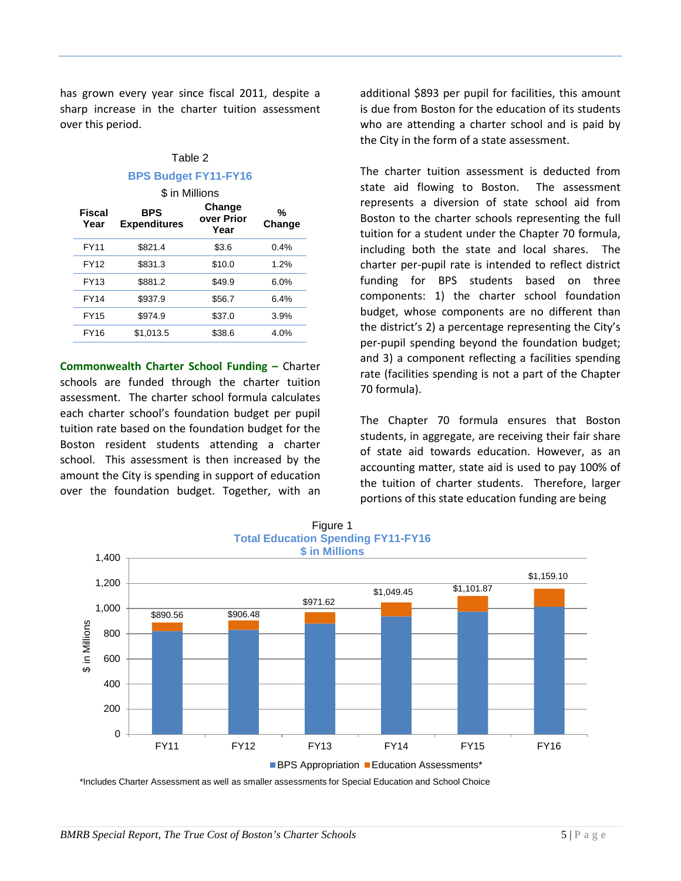has grown every year since fiscal 2011, despite a sharp increase in the charter tuition assessment over this period.

# Table 2 **BPS Budget FY11-FY16**

\$ in Millions

| <b>Fiscal</b><br>Year | <b>BPS</b><br><b>Expenditures</b> | Change<br>over Prior<br>Year | %<br>Change |
|-----------------------|-----------------------------------|------------------------------|-------------|
| <b>FY11</b>           | \$821.4                           | \$3.6                        | 0.4%        |
| FY12                  | \$831.3                           | \$10.0                       | 1.2%        |
| FY13                  | \$881.2                           | \$49.9                       | 6.0%        |
| <b>FY14</b>           | \$937.9                           | \$56.7                       | 6.4%        |
| <b>FY15</b>           | \$974.9                           | \$37.0                       | 3.9%        |
| FY16                  | \$1.013.5                         | \$38.6                       | 4.0%        |

**Commonwealth Charter School Funding –** Charter schools are funded through the charter tuition assessment. The charter school formula calculates each charter school's foundation budget per pupil tuition rate based on the foundation budget for the Boston resident students attending a charter school. This assessment is then increased by the amount the City is spending in support of education over the foundation budget. Together, with an

additional \$893 per pupil for facilities, this amount is due from Boston for the education of its students who are attending a charter school and is paid by the City in the form of a state assessment.

The charter tuition assessment is deducted from state aid flowing to Boston. The assessment represents a diversion of state school aid from Boston to the charter schools representing the full tuition for a student under the Chapter 70 formula, including both the state and local shares. The charter per-pupil rate is intended to reflect district funding for BPS students based on three components: 1) the charter school foundation budget, whose components are no different than the district's 2) a percentage representing the City's per-pupil spending beyond the foundation budget; and 3) a component reflecting a facilities spending rate (facilities spending is not a part of the Chapter 70 formula).

The Chapter 70 formula ensures that Boston students, in aggregate, are receiving their fair share of state aid towards education. However, as an accounting matter, state aid is used to pay 100% of the tuition of charter students. Therefore, larger portions of this state education funding are being



\*Includes Charter Assessment as well as smaller assessments for Special Education and School Choice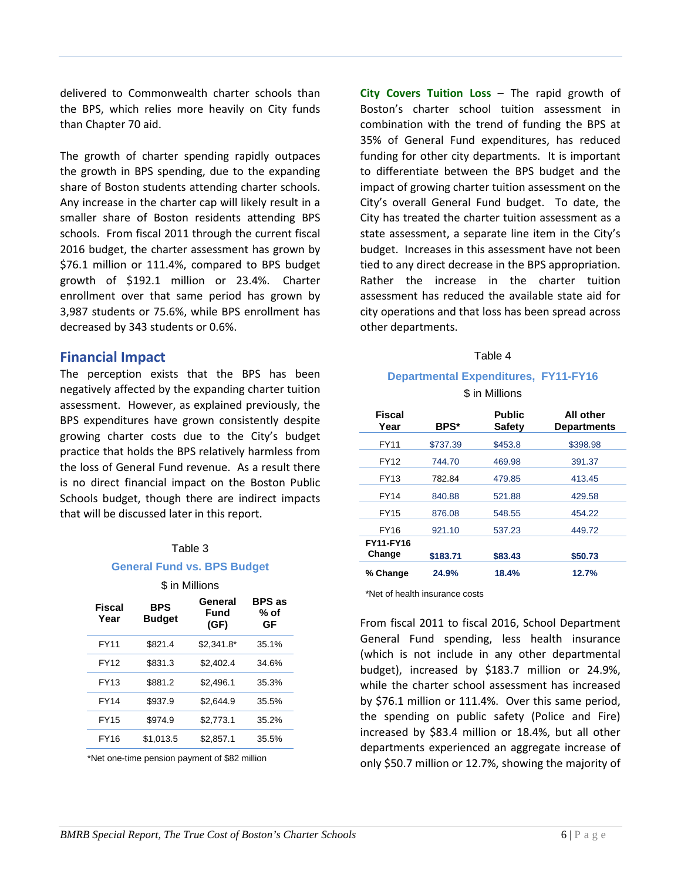delivered to Commonwealth charter schools than the BPS, which relies more heavily on City funds than Chapter 70 aid.

The growth of charter spending rapidly outpaces the growth in BPS spending, due to the expanding share of Boston students attending charter schools. Any increase in the charter cap will likely result in a smaller share of Boston residents attending BPS schools. From fiscal 2011 through the current fiscal 2016 budget, the charter assessment has grown by \$76.1 million or 111.4%, compared to BPS budget growth of \$192.1 million or 23.4%. Charter enrollment over that same period has grown by 3,987 students or 75.6%, while BPS enrollment has decreased by 343 students or 0.6%.

#### **Financial Impact**

The perception exists that the BPS has been negatively affected by the expanding charter tuition assessment. However, as explained previously, the BPS expenditures have grown consistently despite growing charter costs due to the City's budget practice that holds the BPS relatively harmless from the loss of General Fund revenue. As a result there is no direct financial impact on the Boston Public Schools budget, though there are indirect impacts that will be discussed later in this report.

#### Table 3

#### **General Fund vs. BPS Budget**

\$ in Millions

| Fiscal<br>Year | <b>BPS</b><br><b>Budget</b> | General<br>Fund<br>(GF) | <b>BPS</b> as<br>% of<br>GF |
|----------------|-----------------------------|-------------------------|-----------------------------|
| <b>FY11</b>    | \$821.4                     | $$2.341.8*$             | 35.1%                       |
| FY12           | \$831.3                     | \$2.402.4               | 34.6%                       |
| FY13           | \$881.2                     | \$2.496.1               | 35.3%                       |
| <b>FY14</b>    | \$937.9                     | \$2.644.9               | 35.5%                       |
| <b>FY15</b>    | \$974.9                     | \$2.773.1               | 35.2%                       |
| FY16           | \$1.013.5                   | \$2.857.1               | 35.5%                       |

\*Net one-time pension payment of \$82 million

**City Covers Tuition Loss** – The rapid growth of Boston's charter school tuition assessment in combination with the trend of funding the BPS at 35% of General Fund expenditures, has reduced funding for other city departments. It is important to differentiate between the BPS budget and the impact of growing charter tuition assessment on the City's overall General Fund budget. To date, the City has treated the charter tuition assessment as a state assessment, a separate line item in the City's budget. Increases in this assessment have not been tied to any direct decrease in the BPS appropriation. Rather the increase in the charter tuition assessment has reduced the available state aid for city operations and that loss has been spread across other departments.

#### Table 4

#### **Departmental Expenditures, FY11-FY16**

\$ in Millions

| Fiscal<br>Year             | BPS*     | <b>Public</b><br><b>Safety</b> | All other<br><b>Departments</b> |
|----------------------------|----------|--------------------------------|---------------------------------|
| FY11                       | \$737.39 | \$453.8                        | \$398.98                        |
| <b>FY12</b>                | 744.70   | 469.98                         | 391.37                          |
| FY13                       | 782.84   | 479.85                         | 413.45                          |
| <b>FY14</b>                | 840.88   | 521.88                         | 429.58                          |
| <b>FY15</b>                | 876.08   | 548.55                         | 454.22                          |
| FY16                       | 921.10   | 537.23                         | 449.72                          |
| <b>FY11-FY16</b><br>Change | \$183.71 | \$83.43                        | \$50.73                         |
| % Change                   | 24.9%    | 18.4%                          | 12.7%                           |

\*Net of health insurance costs

From fiscal 2011 to fiscal 2016, School Department General Fund spending, less health insurance (which is not include in any other departmental budget), increased by \$183.7 million or 24.9%, while the charter school assessment has increased by \$76.1 million or 111.4%. Over this same period, the spending on public safety (Police and Fire) increased by \$83.4 million or 18.4%, but all other departments experienced an aggregate increase of only \$50.7 million or 12.7%, showing the majority of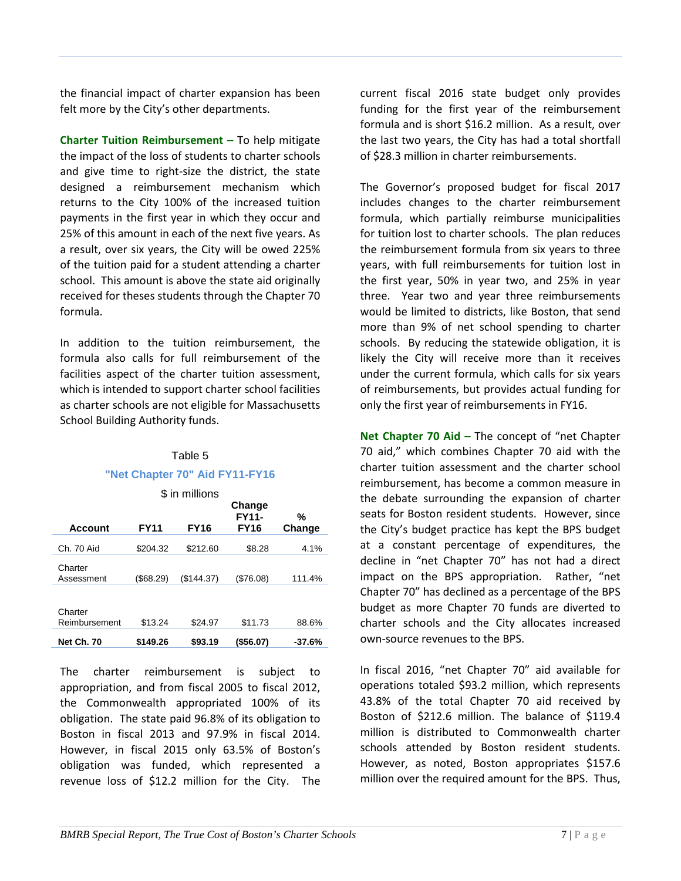the financial impact of charter expansion has been felt more by the City's other departments.

**Charter Tuition Reimbursement –** To help mitigate the impact of the loss of students to charter schools and give time to right-size the district, the state designed a reimbursement mechanism which returns to the City 100% of the increased tuition payments in the first year in which they occur and 25% of this amount in each of the next five years. As a result, over six years, the City will be owed 225% of the tuition paid for a student attending a charter school. This amount is above the state aid originally received for theses students through the Chapter 70 formula.

In addition to the tuition reimbursement, the formula also calls for full reimbursement of the facilities aspect of the charter tuition assessment, which is intended to support charter school facilities as charter schools are not eligible for Massachusetts School Building Authority funds.

| Table 5                        |  |  |
|--------------------------------|--|--|
| "Net Chapter 70" Aid FY11-FY16 |  |  |

| \$ in millions           |             |             |                                       |             |
|--------------------------|-------------|-------------|---------------------------------------|-------------|
| <b>Account</b>           | <b>FY11</b> | <b>FY16</b> | Change<br><b>FY11-</b><br><b>FY16</b> | %<br>Change |
|                          |             |             |                                       |             |
| Ch. 70 Aid               | \$204.32    | \$212.60    | \$8.28                                | 4.1%        |
| Charter<br>Assessment    | (\$68.29)   | (\$144.37)  | (\$76.08)                             | 111.4%      |
|                          |             |             |                                       |             |
| Charter<br>Reimbursement | \$13.24     | \$24.97     | \$11.73                               | 88.6%       |
| <b>Net Ch. 70</b>        | \$149.26    | \$93.19     | (\$56.07)                             | $-37.6%$    |

The charter reimbursement is subject to appropriation, and from fiscal 2005 to fiscal 2012, the Commonwealth appropriated 100% of its obligation. The state paid 96.8% of its obligation to Boston in fiscal 2013 and 97.9% in fiscal 2014. However, in fiscal 2015 only 63.5% of Boston's obligation was funded, which represented a revenue loss of \$12.2 million for the City. The

current fiscal 2016 state budget only provides funding for the first year of the reimbursement formula and is short \$16.2 million. As a result, over the last two years, the City has had a total shortfall of \$28.3 million in charter reimbursements.

The Governor's proposed budget for fiscal 2017 includes changes to the charter reimbursement formula, which partially reimburse municipalities for tuition lost to charter schools. The plan reduces the reimbursement formula from six years to three years, with full reimbursements for tuition lost in the first year, 50% in year two, and 25% in year three. Year two and year three reimbursements would be limited to districts, like Boston, that send more than 9% of net school spending to charter schools. By reducing the statewide obligation, it is likely the City will receive more than it receives under the current formula, which calls for six years of reimbursements, but provides actual funding for only the first year of reimbursements in FY16.

**Net Chapter 70 Aid –** The concept of "net Chapter 70 aid," which combines Chapter 70 aid with the charter tuition assessment and the charter school reimbursement, has become a common measure in the debate surrounding the expansion of charter seats for Boston resident students. However, since the City's budget practice has kept the BPS budget at a constant percentage of expenditures, the decline in "net Chapter 70" has not had a direct impact on the BPS appropriation. Rather, "net Chapter 70" has declined as a percentage of the BPS budget as more Chapter 70 funds are diverted to charter schools and the City allocates increased own-source revenues to the BPS.

In fiscal 2016, "net Chapter 70" aid available for operations totaled \$93.2 million, which represents 43.8% of the total Chapter 70 aid received by Boston of \$212.6 million. The balance of \$119.4 million is distributed to Commonwealth charter schools attended by Boston resident students. However, as noted, Boston appropriates \$157.6 million over the required amount for the BPS. Thus,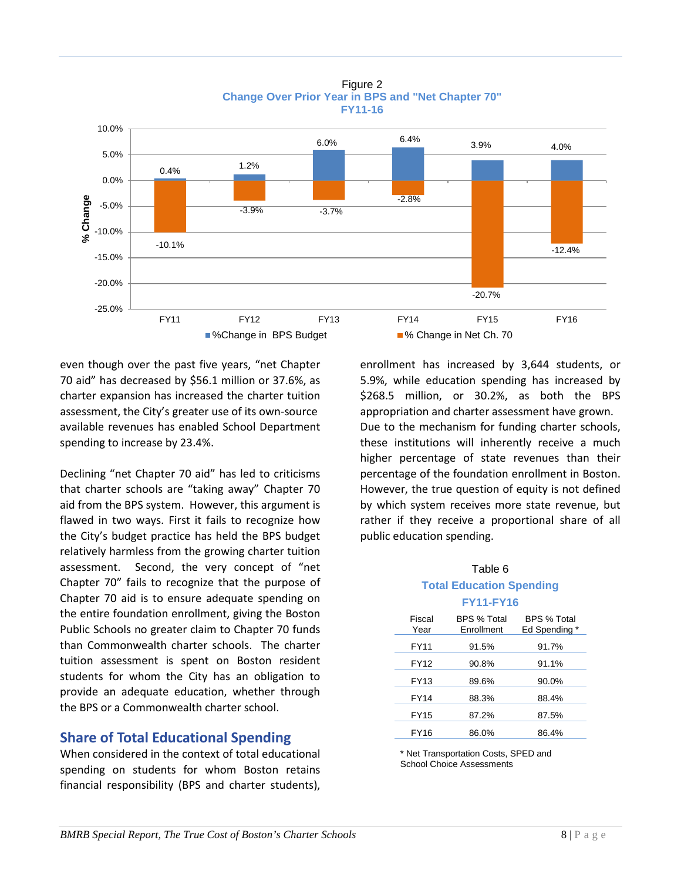



even though over the past five years, "net Chapter 70 aid" has decreased by \$56.1 million or 37.6%, as charter expansion has increased the charter tuition assessment, the City's greater use of its own-source available revenues has enabled School Department spending to increase by 23.4%.

Declining "net Chapter 70 aid" has led to criticisms that charter schools are "taking away" Chapter 70 aid from the BPS system. However, this argument is flawed in two ways. First it fails to recognize how the City's budget practice has held the BPS budget relatively harmless from the growing charter tuition assessment. Second, the very concept of "net Chapter 70" fails to recognize that the purpose of Chapter 70 aid is to ensure adequate spending on the entire foundation enrollment, giving the Boston Public Schools no greater claim to Chapter 70 funds than Commonwealth charter schools. The charter tuition assessment is spent on Boston resident students for whom the City has an obligation to provide an adequate education, whether through the BPS or a Commonwealth charter school.

# **Share of Total Educational Spending**

When considered in the context of total educational spending on students for whom Boston retains financial responsibility (BPS and charter students),

enrollment has increased by 3,644 students, or 5.9%, while education spending has increased by \$268.5 million, or 30.2%, as both the BPS appropriation and charter assessment have grown. Due to the mechanism for funding charter schools, these institutions will inherently receive a much higher percentage of state revenues than their percentage of the foundation enrollment in Boston. However, the true question of equity is not defined by which system receives more state revenue, but rather if they receive a proportional share of all public education spending.

#### Table 6 **Total Education Spending FY11-FY16**

|                | .                         |                              |
|----------------|---------------------------|------------------------------|
| Fiscal<br>Year | BPS % Total<br>Enrollment | BPS % Total<br>Ed Spending * |
| <b>FY11</b>    | 91.5%                     | 91.7%                        |
| FY12           | 90.8%                     | 91.1%                        |
| FY13           | 89.6%                     | 90.0%                        |
| <b>FY14</b>    | 88.3%                     | 88.4%                        |
| FY15           | 87.2%                     | 87.5%                        |
| FY16           | 86.0%                     | 86.4%                        |

\* Net Transportation Costs, SPED and School Choice Assessments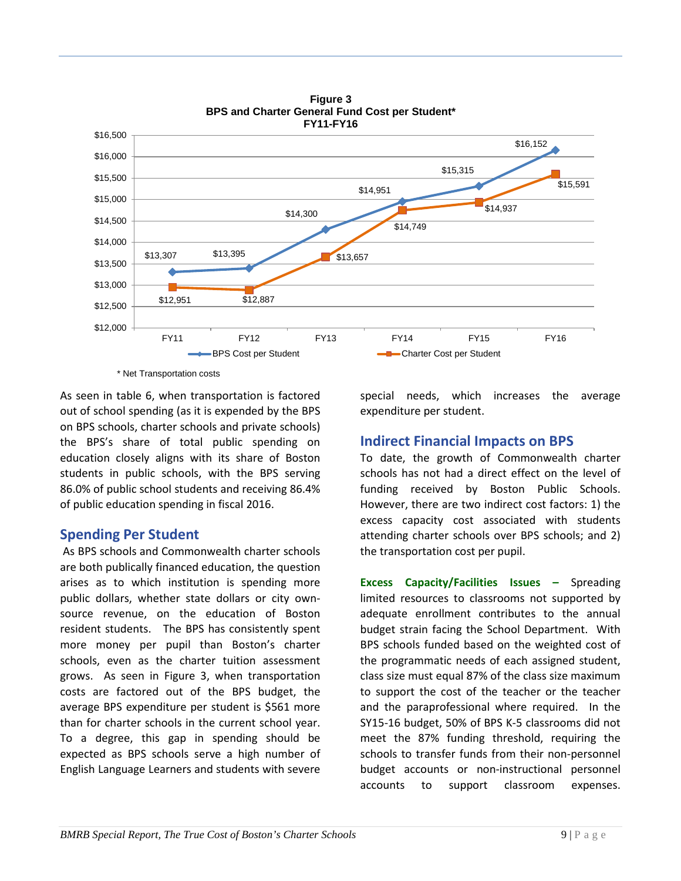

**Figure 3 BPS and Charter General Fund Cost per Student\***

\* Net Transportation costs

As seen in table 6, when transportation is factored out of school spending (as it is expended by the BPS on BPS schools, charter schools and private schools) the BPS's share of total public spending on education closely aligns with its share of Boston students in public schools, with the BPS serving 86.0% of public school students and receiving 86.4% of public education spending in fiscal 2016.

# **Spending Per Student**

As BPS schools and Commonwealth charter schools are both publically financed education, the question arises as to which institution is spending more public dollars, whether state dollars or city ownsource revenue, on the education of Boston resident students. The BPS has consistently spent more money per pupil than Boston's charter schools, even as the charter tuition assessment grows. As seen in Figure 3, when transportation costs are factored out of the BPS budget, the average BPS expenditure per student is \$561 more than for charter schools in the current school year. To a degree, this gap in spending should be expected as BPS schools serve a high number of English Language Learners and students with severe special needs, which increases the average expenditure per student.

# **Indirect Financial Impacts on BPS**

To date, the growth of Commonwealth charter schools has not had a direct effect on the level of funding received by Boston Public Schools. However, there are two indirect cost factors: 1) the excess capacity cost associated with students attending charter schools over BPS schools; and 2) the transportation cost per pupil.

**Excess Capacity/Facilities Issues –** Spreading limited resources to classrooms not supported by adequate enrollment contributes to the annual budget strain facing the School Department. With BPS schools funded based on the weighted cost of the programmatic needs of each assigned student, class size must equal 87% of the class size maximum to support the cost of the teacher or the teacher and the paraprofessional where required. In the SY15-16 budget, 50% of BPS K-5 classrooms did not meet the 87% funding threshold, requiring the schools to transfer funds from their non-personnel budget accounts or non-instructional personnel accounts to support classroom expenses.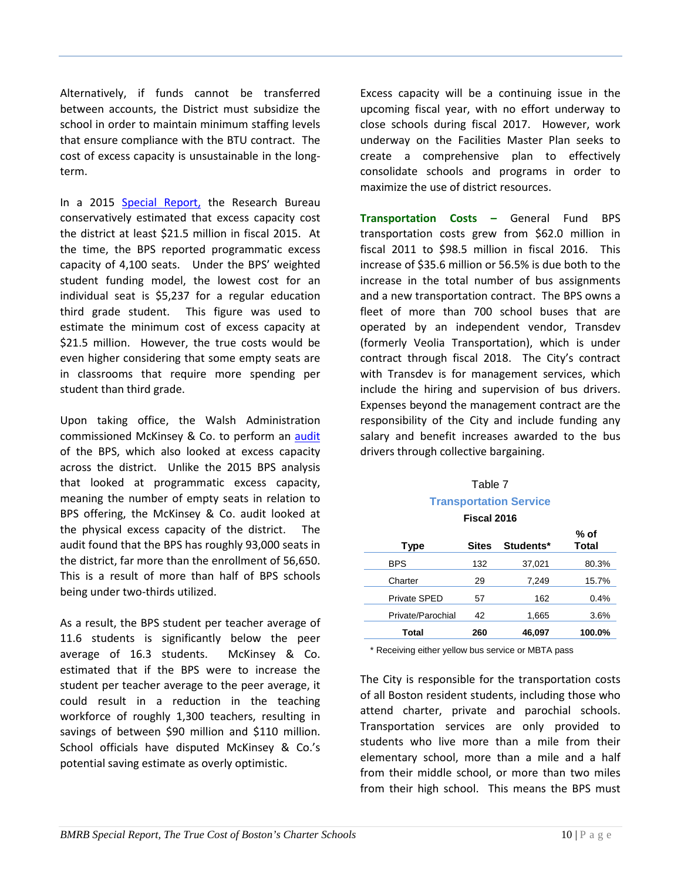Alternatively, if funds cannot be transferred between accounts, the District must subsidize the school in order to maintain minimum staffing levels that ensure compliance with the BTU contract. The cost of excess capacity is unsustainable in the longterm.

In a 2015 [Special Report,](http://bmrb.org/wp-content/uploads/2015/05/SR15-2BPS.pdf) the Research Bureau conservatively estimated that excess capacity cost the district at least \$21.5 million in fiscal 2015. At the time, the BPS reported programmatic excess capacity of 4,100 seats. Under the BPS' weighted student funding model, the lowest cost for an individual seat is \$5,237 for a regular education third grade student. This figure was used to estimate the minimum cost of excess capacity at \$21.5 million. However, the true costs would be even higher considering that some empty seats are in classrooms that require more spending per student than third grade.

Upon taking office, the Walsh Administration commissioned McKinsey & Co. to perform an [audit](http://www.bostonpublicschools.org/site/default.aspx?PageType=3&DomainID=4&ModuleInstanceID=14&ViewID=047E6BE3-6D87-4130-8424-D8E4E9ED6C2A&RenderLoc=0&FlexDataID=9229&PageID=1) of the BPS, which also looked at excess capacity across the district. Unlike the 2015 BPS analysis that looked at programmatic excess capacity, meaning the number of empty seats in relation to BPS offering, the McKinsey & Co. audit looked at the physical excess capacity of the district. The audit found that the BPS has roughly 93,000 seats in the district, far more than the enrollment of 56,650. This is a result of more than half of BPS schools being under two-thirds utilized.

As a result, the BPS student per teacher average of 11.6 students is significantly below the peer average of 16.3 students. McKinsey & Co. estimated that if the BPS were to increase the student per teacher average to the peer average, it could result in a reduction in the teaching workforce of roughly 1,300 teachers, resulting in savings of between \$90 million and \$110 million. School officials have disputed McKinsey & Co.'s potential saving estimate as overly optimistic.

Excess capacity will be a continuing issue in the upcoming fiscal year, with no effort underway to close schools during fiscal 2017. However, work underway on the Facilities Master Plan seeks to create a comprehensive plan to effectively consolidate schools and programs in order to maximize the use of district resources.

**Transportation Costs –** General Fund BPS transportation costs grew from \$62.0 million in fiscal 2011 to \$98.5 million in fiscal 2016. This increase of \$35.6 million or 56.5% is due both to the increase in the total number of bus assignments and a new transportation contract. The BPS owns a fleet of more than 700 school buses that are operated by an independent vendor, Transdev (formerly Veolia Transportation), which is under contract through fiscal 2018. The City's contract with Transdev is for management services, which include the hiring and supervision of bus drivers. Expenses beyond the management contract are the responsibility of the City and include funding any salary and benefit increases awarded to the bus drivers through collective bargaining.

#### Table 7 **Transportation Service Fiscal 2016**

| 1 19941 LV IV |                   |       |           |                      |
|---------------|-------------------|-------|-----------|----------------------|
| Type          |                   | Sites | Students* | % of<br><b>Total</b> |
| BPS           |                   | 132   | 37,021    | 80.3%                |
| Charter       |                   | 29    | 7,249     | 15.7%                |
| Private SPED  |                   | 57    | 162       | 0.4%                 |
|               | Private/Parochial | 42    | 1,665     | 3.6%                 |
| Total         |                   | 260   | 46,097    | 100.0%               |

\* Receiving either yellow bus service or MBTA pass

The City is responsible for the transportation costs of all Boston resident students, including those who attend charter, private and parochial schools. Transportation services are only provided to students who live more than a mile from their elementary school, more than a mile and a half from their middle school, or more than two miles from their high school. This means the BPS must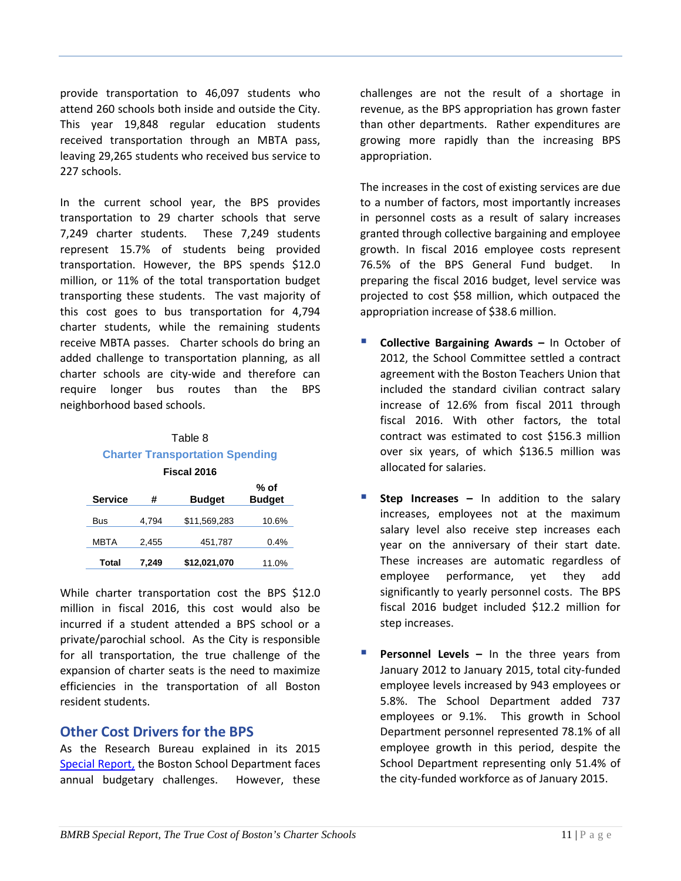provide transportation to 46,097 students who attend 260 schools both inside and outside the City. This year 19,848 regular education students received transportation through an MBTA pass, leaving 29,265 students who received bus service to 227 schools.

In the current school year, the BPS provides transportation to 29 charter schools that serve 7,249 charter students. These 7,249 students represent 15.7% of students being provided transportation. However, the BPS spends \$12.0 million, or 11% of the total transportation budget transporting these students. The vast majority of this cost goes to bus transportation for 4,794 charter students, while the remaining students receive MBTA passes. Charter schools do bring an added challenge to transportation planning, as all charter schools are city-wide and therefore can require longer bus routes than the BPS neighborhood based schools.

# Table 8 **Charter Transportation Spending Fiscal 2016**

| <b>Service</b> | #     | <b>Budget</b> | $%$ of<br><b>Budget</b> |
|----------------|-------|---------------|-------------------------|
| <b>Bus</b>     | 4.794 | \$11,569,283  | 10.6%                   |
| <b>MBTA</b>    | 2.455 | 451,787       | 0.4%                    |
| Total          | 7,249 | \$12,021,070  | 11.0%                   |

While charter transportation cost the BPS \$12.0 million in fiscal 2016, this cost would also be incurred if a student attended a BPS school or a private/parochial school. As the City is responsible for all transportation, the true challenge of the expansion of charter seats is the need to maximize efficiencies in the transportation of all Boston resident students.

# **Other Cost Drivers for the BPS**

As the Research Bureau explained in its 2015 [Special Report,](http://bmrb.org/wp-content/uploads/2015/05/SR15-2BPS.pdf) the Boston School Department faces annual budgetary challenges. However, these

challenges are not the result of a shortage in revenue, as the BPS appropriation has grown faster than other departments. Rather expenditures are growing more rapidly than the increasing BPS appropriation.

The increases in the cost of existing services are due to a number of factors, most importantly increases in personnel costs as a result of salary increases granted through collective bargaining and employee growth. In fiscal 2016 employee costs represent 76.5% of the BPS General Fund budget. In preparing the fiscal 2016 budget, level service was projected to cost \$58 million, which outpaced the appropriation increase of \$38.6 million.

- **Collective Bargaining Awards –** In October of 2012, the School Committee settled a contract agreement with the Boston Teachers Union that included the standard civilian contract salary increase of 12.6% from fiscal 2011 through fiscal 2016. With other factors, the total contract was estimated to cost \$156.3 million over six years, of which \$136.5 million was allocated for salaries.
- **Step Increases –** In addition to the salary increases, employees not at the maximum salary level also receive step increases each year on the anniversary of their start date. These increases are automatic regardless of employee performance, yet they add significantly to yearly personnel costs. The BPS fiscal 2016 budget included \$12.2 million for step increases.
- **Personnel Levels –** In the three years from January 2012 to January 2015, total city-funded employee levels increased by 943 employees or 5.8%. The School Department added 737 employees or 9.1%. This growth in School Department personnel represented 78.1% of all employee growth in this period, despite the School Department representing only 51.4% of the city-funded workforce as of January 2015.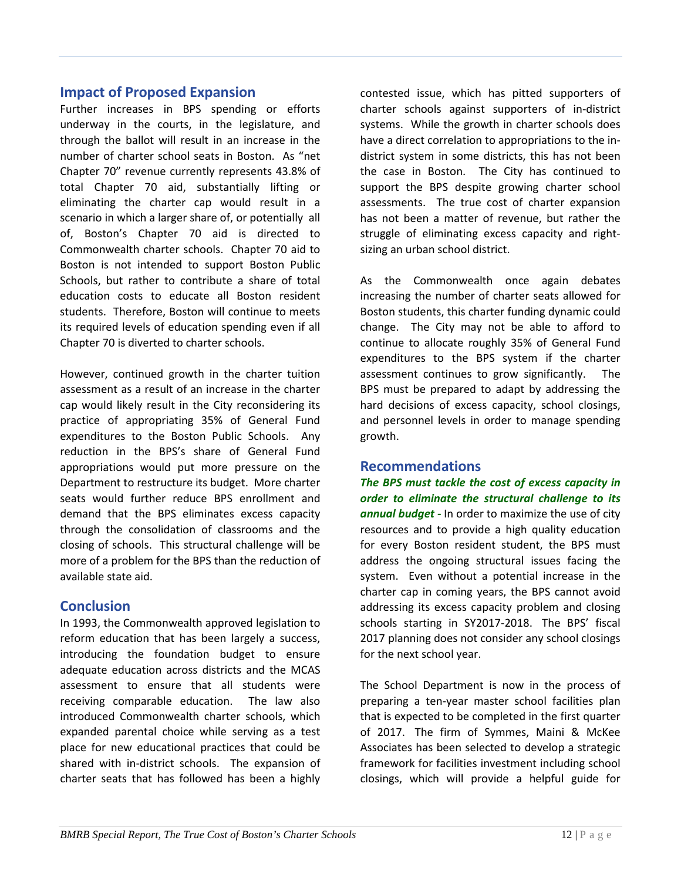# **Impact of Proposed Expansion**

Further increases in BPS spending or efforts underway in the courts, in the legislature, and through the ballot will result in an increase in the number of charter school seats in Boston. As "net Chapter 70" revenue currently represents 43.8% of total Chapter 70 aid, substantially lifting or eliminating the charter cap would result in a scenario in which a larger share of, or potentially all of, Boston's Chapter 70 aid is directed to Commonwealth charter schools. Chapter 70 aid to Boston is not intended to support Boston Public Schools, but rather to contribute a share of total education costs to educate all Boston resident students. Therefore, Boston will continue to meets its required levels of education spending even if all Chapter 70 is diverted to charter schools.

However, continued growth in the charter tuition assessment as a result of an increase in the charter cap would likely result in the City reconsidering its practice of appropriating 35% of General Fund expenditures to the Boston Public Schools. Any reduction in the BPS's share of General Fund appropriations would put more pressure on the Department to restructure its budget. More charter seats would further reduce BPS enrollment and demand that the BPS eliminates excess capacity through the consolidation of classrooms and the closing of schools. This structural challenge will be more of a problem for the BPS than the reduction of available state aid.

# **Conclusion**

In 1993, the Commonwealth approved legislation to reform education that has been largely a success, introducing the foundation budget to ensure adequate education across districts and the MCAS assessment to ensure that all students were receiving comparable education. The law also introduced Commonwealth charter schools, which expanded parental choice while serving as a test place for new educational practices that could be shared with in-district schools. The expansion of charter seats that has followed has been a highly

contested issue, which has pitted supporters of charter schools against supporters of in-district systems. While the growth in charter schools does have a direct correlation to appropriations to the indistrict system in some districts, this has not been the case in Boston. The City has continued to support the BPS despite growing charter school assessments. The true cost of charter expansion has not been a matter of revenue, but rather the struggle of eliminating excess capacity and rightsizing an urban school district.

As the Commonwealth once again debates increasing the number of charter seats allowed for Boston students, this charter funding dynamic could change. The City may not be able to afford to continue to allocate roughly 35% of General Fund expenditures to the BPS system if the charter assessment continues to grow significantly. The BPS must be prepared to adapt by addressing the hard decisions of excess capacity, school closings, and personnel levels in order to manage spending growth.

# **Recommendations**

*The BPS must tackle the cost of excess capacity in order to eliminate the structural challenge to its annual budget -* In order to maximize the use of city resources and to provide a high quality education for every Boston resident student, the BPS must address the ongoing structural issues facing the system. Even without a potential increase in the charter cap in coming years, the BPS cannot avoid addressing its excess capacity problem and closing schools starting in SY2017-2018. The BPS' fiscal 2017 planning does not consider any school closings for the next school year.

The School Department is now in the process of preparing a ten-year master school facilities plan that is expected to be completed in the first quarter of 2017. The firm of Symmes, Maini & McKee Associates has been selected to develop a strategic framework for facilities investment including school closings, which will provide a helpful guide for